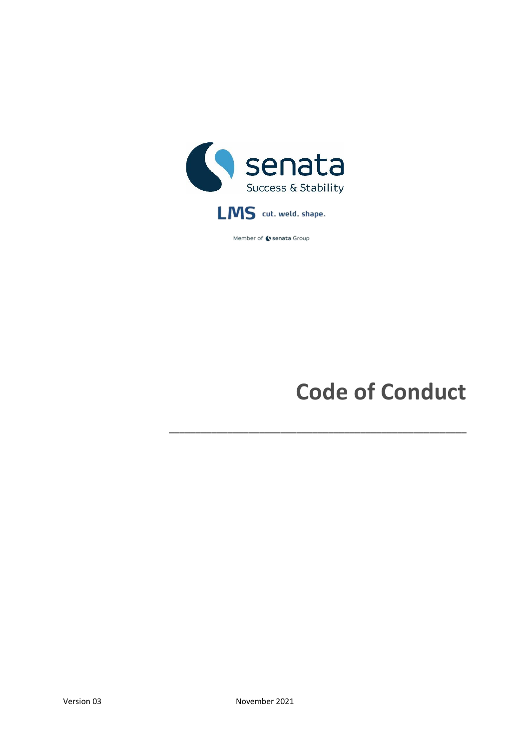

Member of C senata Group

# **Code of Conduct**

**\_\_\_\_\_\_\_\_\_\_\_\_\_\_\_\_\_\_\_\_\_\_\_\_\_\_\_\_\_\_\_\_\_\_\_\_\_\_\_\_\_\_\_\_\_\_\_\_\_\_\_\_\_\_\_\_**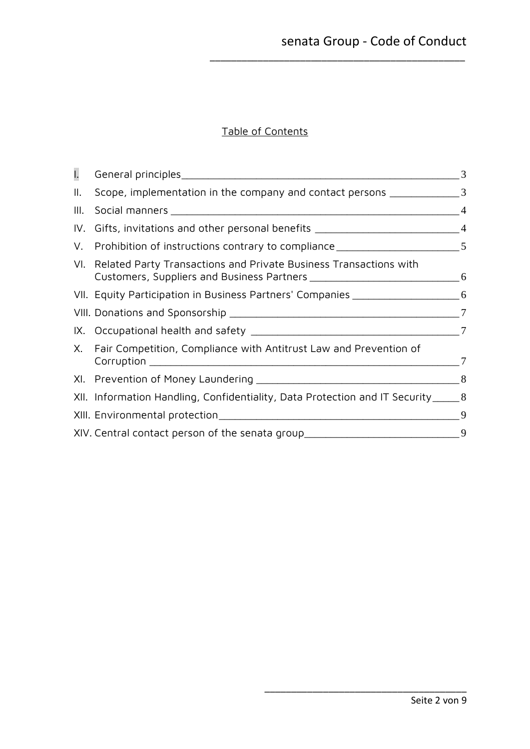# Table of Contents

\_\_\_\_\_\_\_\_\_\_\_\_\_\_\_\_\_\_\_\_\_\_\_\_\_\_\_\_\_\_\_\_\_\_\_\_\_\_\_\_\_\_\_\_\_\_\_\_

<span id="page-1-0"></span>

| I.   |                                                                                    |   |
|------|------------------------------------------------------------------------------------|---|
| II.  | Scope, implementation in the company and contact persons __________________3       |   |
| III. |                                                                                    |   |
|      | IV. Gifts, invitations and other personal benefits _____________________________4  |   |
|      | V. Prohibition of instructions contrary to compliance ___________________________5 |   |
|      | VI. Related Party Transactions and Private Business Transactions with              |   |
|      | VII. Equity Participation in Business Partners' Companies ______________________6  |   |
|      |                                                                                    |   |
|      |                                                                                    |   |
|      | X. Fair Competition, Compliance with Antitrust Law and Prevention of               |   |
|      |                                                                                    |   |
|      | XII. Information Handling, Confidentiality, Data Protection and IT Security_____8  |   |
|      |                                                                                    | 9 |
|      | XIV. Central contact person of the senata group__________________________________9 |   |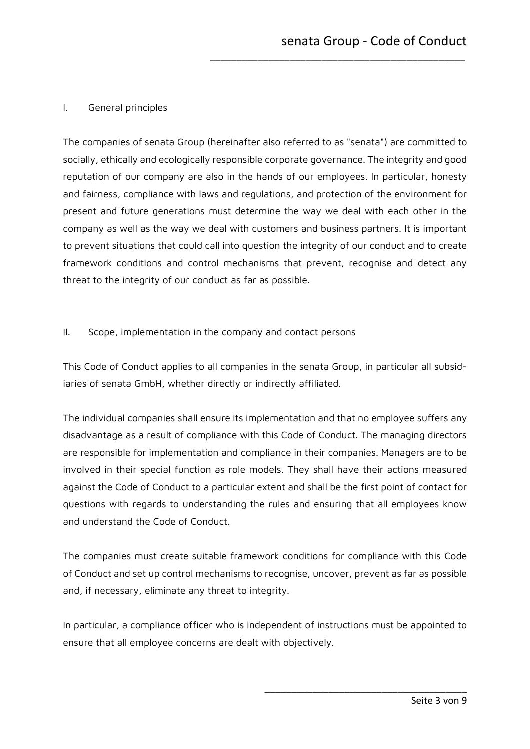## I. General principles

The companies of senata Group (hereinafter also referred to as "senata") are committed to socially, ethically and ecologically responsible corporate governance. The integrity and good reputation of our company are also in the hands of our employees. In particular, honesty and fairness, compliance with laws and regulations, and protection of the environment for present and future generations must determine the way we deal with each other in the company as well as the way we deal with customers and business partners. It is important to prevent situations that could call into question the integrity of our conduct and to create framework conditions and control mechanisms that prevent, recognise and detect any threat to the integrity of our conduct as far as possible.

\_\_\_\_\_\_\_\_\_\_\_\_\_\_\_\_\_\_\_\_\_\_\_\_\_\_\_\_\_\_\_\_\_\_\_\_\_\_\_\_\_\_\_\_\_\_\_\_

#### <span id="page-2-0"></span>II. Scope, implementation in the company and contact persons

This Code of Conduct applies to all companies in the senata Group, in particular all subsidiaries of senata GmbH, whether directly or indirectly affiliated.

The individual companies shall ensure its implementation and that no employee suffers any disadvantage as a result of compliance with this Code of Conduct. The managing directors are responsible for implementation and compliance in their companies. Managers are to be involved in their special function as role models. They shall have their actions measured against the Code of Conduct to a particular extent and shall be the first point of contact for questions with regards to understanding the rules and ensuring that all employees know and understand the Code of Conduct.

The companies must create suitable framework conditions for compliance with this Code of Conduct and set up control mechanisms to recognise, uncover, prevent as far as possible and, if necessary, eliminate any threat to integrity.

In particular, a compliance officer who is independent of instructions must be appointed to ensure that all employee concerns are dealt with objectively.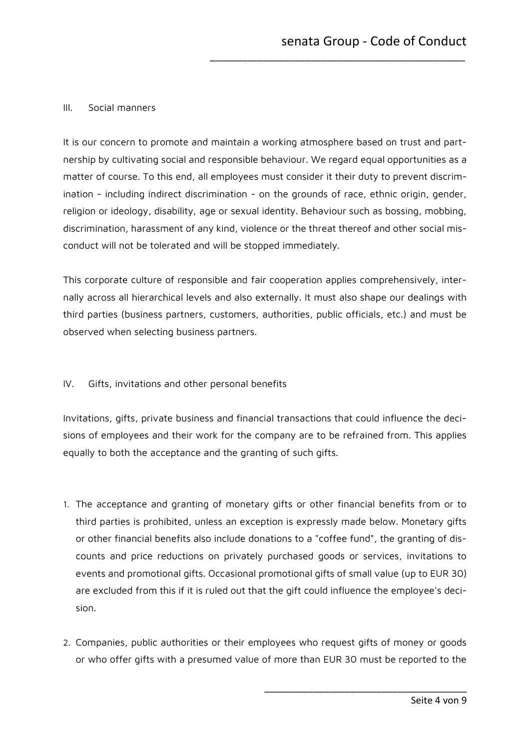#### <span id="page-3-0"></span>III. Social manners

It is our concern to promote and maintain a working atmosphere based on trust and partnership by cultivating social and responsible behaviour. We regard equal opportunities as a matter of course. To this end, all employees must consider it their duty to prevent discrimination - including indirect discrimination - on the grounds of race, ethnic origin, gender, religion or ideology, disability, age or sexual identity. Behaviour such as bossing, mobbing, discrimination, harassment of any kind, violence or the threat thereof and other social misconduct will not be tolerated and will be stopped immediately.

\_\_\_\_\_\_\_\_\_\_\_\_\_\_\_\_\_\_\_\_\_\_\_\_\_\_\_\_\_\_\_\_\_\_\_\_\_\_\_\_\_\_\_\_\_\_\_\_

This corporate culture of responsible and fair cooperation applies comprehensively, internally across all hierarchical levels and also externally. It must also shape our dealings with third parties (business partners, customers, authorities, public officials, etc.) and must be observed when selecting business partners.

## <span id="page-3-1"></span>IV. Gifts, invitations and other personal benefits

Invitations, gifts, private business and financial transactions that could influence the decisions of employees and their work for the company are to be refrained from. This applies equally to both the acceptance and the granting of such gifts.

- 1. The acceptance and granting of monetary gifts or other financial benefits from or to third parties is prohibited, unless an exception is expressly made below. Monetary gifts or other financial benefits also include donations to a "coffee fund", the granting of discounts and price reductions on privately purchased goods or services, invitations to events and promotional gifts. Occasional promotional gifts of small value (up to EUR 30) are excluded from this if it is ruled out that the gift could influence the employee's decision.
- 2. Companies, public authorities or their employees who request gifts of money or goods or who offer gifts with a presumed value of more than EUR 30 must be reported to the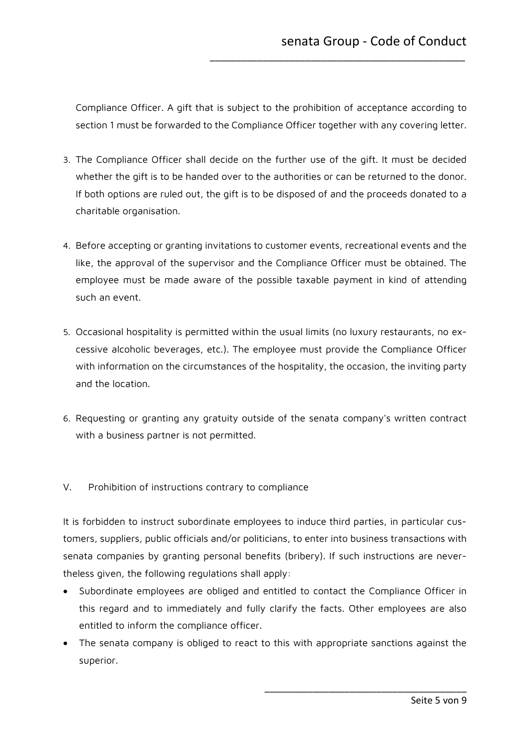Compliance Officer. A gift that is subject to the prohibition of acceptance according to section 1 must be forwarded to the Compliance Officer together with any covering letter.

\_\_\_\_\_\_\_\_\_\_\_\_\_\_\_\_\_\_\_\_\_\_\_\_\_\_\_\_\_\_\_\_\_\_\_\_\_\_\_\_\_\_\_\_\_\_\_\_

- 3. The Compliance Officer shall decide on the further use of the gift. It must be decided whether the gift is to be handed over to the authorities or can be returned to the donor. If both options are ruled out, the gift is to be disposed of and the proceeds donated to a charitable organisation.
- 4. Before accepting or granting invitations to customer events, recreational events and the like, the approval of the supervisor and the Compliance Officer must be obtained. The employee must be made aware of the possible taxable payment in kind of attending such an event.
- 5. Occasional hospitality is permitted within the usual limits (no luxury restaurants, no excessive alcoholic beverages, etc.). The employee must provide the Compliance Officer with information on the circumstances of the hospitality, the occasion, the inviting party and the location.
- 6. Requesting or granting any gratuity outside of the senata company's written contract with a business partner is not permitted.
- <span id="page-4-0"></span>V. Prohibition of instructions contrary to compliance

It is forbidden to instruct subordinate employees to induce third parties, in particular customers, suppliers, public officials and/or politicians, to enter into business transactions with senata companies by granting personal benefits (bribery). If such instructions are nevertheless given, the following regulations shall apply:

- Subordinate employees are obliged and entitled to contact the Compliance Officer in this regard and to immediately and fully clarify the facts. Other employees are also entitled to inform the compliance officer.
- The senata company is obliged to react to this with appropriate sanctions against the superior.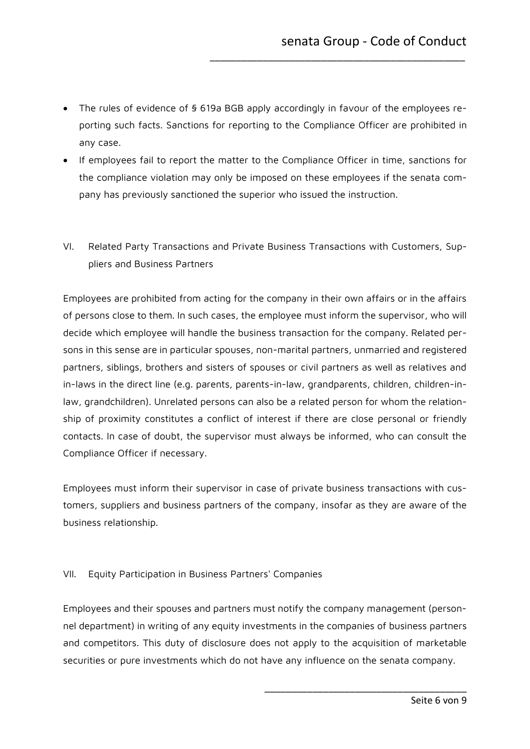• The rules of evidence of § 619a BGB apply accordingly in favour of the employees reporting such facts. Sanctions for reporting to the Compliance Officer are prohibited in any case.

\_\_\_\_\_\_\_\_\_\_\_\_\_\_\_\_\_\_\_\_\_\_\_\_\_\_\_\_\_\_\_\_\_\_\_\_\_\_\_\_\_\_\_\_\_\_\_\_

- If employees fail to report the matter to the Compliance Officer in time, sanctions for the compliance violation may only be imposed on these employees if the senata company has previously sanctioned the superior who issued the instruction.
- <span id="page-5-0"></span>VI. Related Party Transactions and Private Business Transactions with Customers, Suppliers and Business Partners

Employees are prohibited from acting for the company in their own affairs or in the affairs of persons close to them. In such cases, the employee must inform the supervisor, who will decide which employee will handle the business transaction for the company. Related persons in this sense are in particular spouses, non-marital partners, unmarried and registered partners, siblings, brothers and sisters of spouses or civil partners as well as relatives and in-laws in the direct line (e.g. parents, parents-in-law, grandparents, children, children-inlaw, grandchildren). Unrelated persons can also be a related person for whom the relationship of proximity constitutes a conflict of interest if there are close personal or friendly contacts. In case of doubt, the supervisor must always be informed, who can consult the Compliance Officer if necessary.

Employees must inform their supervisor in case of private business transactions with customers, suppliers and business partners of the company, insofar as they are aware of the business relationship.

## <span id="page-5-1"></span>VII. Equity Participation in Business Partners' Companies

Employees and their spouses and partners must notify the company management (personnel department) in writing of any equity investments in the companies of business partners and competitors. This duty of disclosure does not apply to the acquisition of marketable securities or pure investments which do not have any influence on the senata company.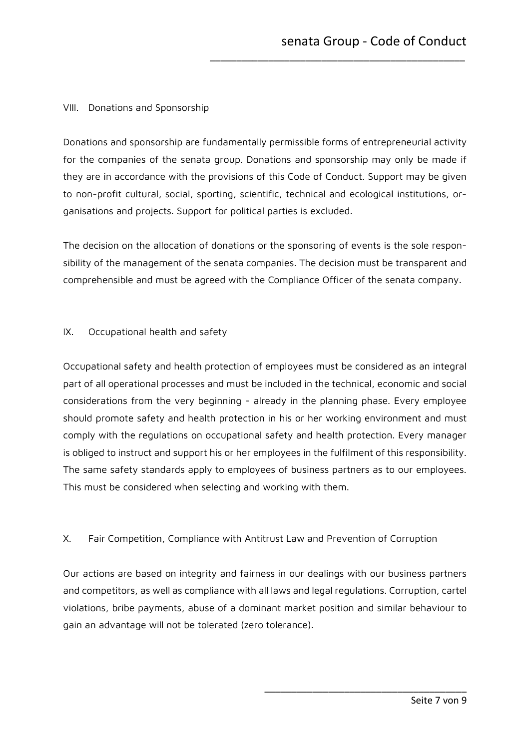## <span id="page-6-0"></span>VIII. Donations and Sponsorship

Donations and sponsorship are fundamentally permissible forms of entrepreneurial activity for the companies of the senata group. Donations and sponsorship may only be made if they are in accordance with the provisions of this Code of Conduct. Support may be given to non-profit cultural, social, sporting, scientific, technical and ecological institutions, organisations and projects. Support for political parties is excluded.

\_\_\_\_\_\_\_\_\_\_\_\_\_\_\_\_\_\_\_\_\_\_\_\_\_\_\_\_\_\_\_\_\_\_\_\_\_\_\_\_\_\_\_\_\_\_\_\_

The decision on the allocation of donations or the sponsoring of events is the sole responsibility of the management of the senata companies. The decision must be transparent and comprehensible and must be agreed with the Compliance Officer of the senata company.

#### <span id="page-6-1"></span>IX. Occupational health and safety

Occupational safety and health protection of employees must be considered as an integral part of all operational processes and must be included in the technical, economic and social considerations from the very beginning - already in the planning phase. Every employee should promote safety and health protection in his or her working environment and must comply with the regulations on occupational safety and health protection. Every manager is obliged to instruct and support his or her employees in the fulfilment of this responsibility. The same safety standards apply to employees of business partners as to our employees. This must be considered when selecting and working with them.

## <span id="page-6-2"></span>X. Fair Competition, Compliance with Antitrust Law and Prevention of Corruption

Our actions are based on integrity and fairness in our dealings with our business partners and competitors, as well as compliance with all laws and legal regulations. Corruption, cartel violations, bribe payments, abuse of a dominant market position and similar behaviour to gain an advantage will not be tolerated (zero tolerance).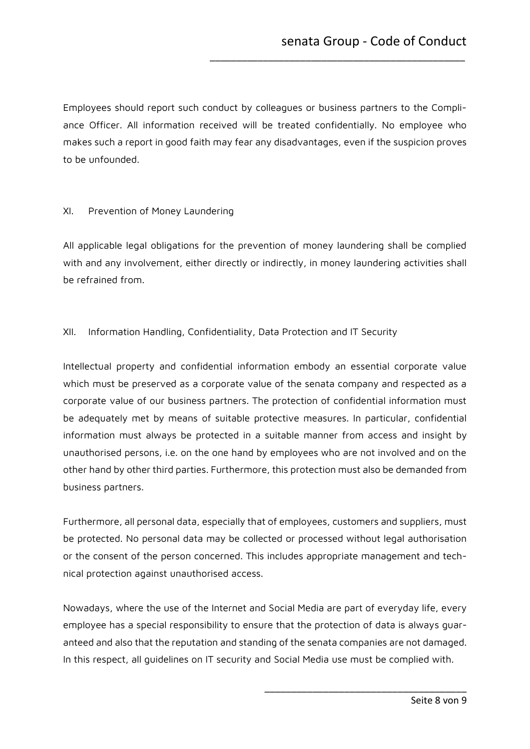Employees should report such conduct by colleagues or business partners to the Compliance Officer. All information received will be treated confidentially. No employee who makes such a report in good faith may fear any disadvantages, even if the suspicion proves to be unfounded.

\_\_\_\_\_\_\_\_\_\_\_\_\_\_\_\_\_\_\_\_\_\_\_\_\_\_\_\_\_\_\_\_\_\_\_\_\_\_\_\_\_\_\_\_\_\_\_\_

#### <span id="page-7-0"></span>XI. Prevention of Money Laundering

All applicable legal obligations for the prevention of money laundering shall be complied with and any involvement, either directly or indirectly, in money laundering activities shall be refrained from.

#### <span id="page-7-1"></span>XII. Information Handling, Confidentiality, Data Protection and IT Security

Intellectual property and confidential information embody an essential corporate value which must be preserved as a corporate value of the senata company and respected as a corporate value of our business partners. The protection of confidential information must be adequately met by means of suitable protective measures. In particular, confidential information must always be protected in a suitable manner from access and insight by unauthorised persons, i.e. on the one hand by employees who are not involved and on the other hand by other third parties. Furthermore, this protection must also be demanded from business partners.

Furthermore, all personal data, especially that of employees, customers and suppliers, must be protected. No personal data may be collected or processed without legal authorisation or the consent of the person concerned. This includes appropriate management and technical protection against unauthorised access.

Nowadays, where the use of the Internet and Social Media are part of everyday life, every employee has a special responsibility to ensure that the protection of data is always guaranteed and also that the reputation and standing of the senata companies are not damaged. In this respect, all guidelines on IT security and Social Media use must be complied with.